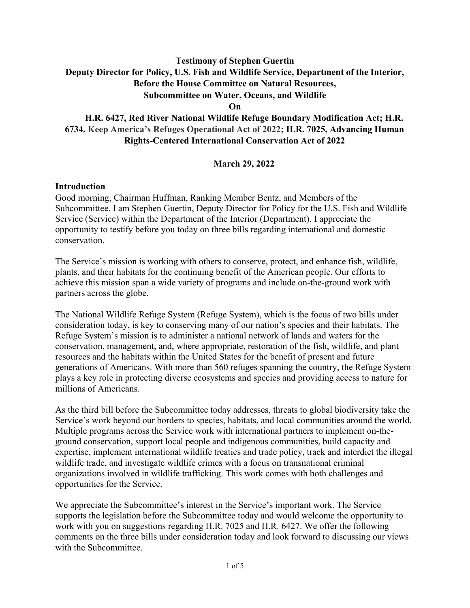# **Testimony of Stephen Guertin Deputy Director for Policy, U.S. Fish and Wildlife Service, Department of the Interior, Before the House Committee on Natural Resources, Subcommittee on Water, Oceans, and Wildlife**

**On**

# **H.R. 6427, Red River National Wildlife Refuge Boundary Modification Act; H.R. 6734, Keep America's Refuges Operational Act of 2022; H.R. 7025, Advancing Human Rights-Centered International Conservation Act of 2022**

### **March 29, 2022**

#### **Introduction**

Good morning, Chairman Huffman, Ranking Member Bentz, and Members of the Subcommittee. I am Stephen Guertin, Deputy Director for Policy for the U.S. Fish and Wildlife Service (Service) within the Department of the Interior (Department). I appreciate the opportunity to testify before you today on three bills regarding international and domestic conservation.

The Service's mission is working with others to conserve, protect, and enhance fish, wildlife, plants, and their habitats for the continuing benefit of the American people. Our efforts to achieve this mission span a wide variety of programs and include on-the-ground work with partners across the globe.

The National Wildlife Refuge System (Refuge System), which is the focus of two bills under consideration today, is key to conserving many of our nation's species and their habitats. The Refuge System's mission is to administer a national network of lands and waters for the conservation, management, and, where appropriate, restoration of the fish, wildlife, and plant resources and the habitats within the United States for the benefit of present and future generations of Americans. With more than 560 refuges spanning the country, the Refuge System plays a key role in protecting diverse ecosystems and species and providing access to nature for millions of Americans.

As the third bill before the Subcommittee today addresses, threats to global biodiversity take the Service's work beyond our borders to species, habitats, and local communities around the world. Multiple programs across the Service work with international partners to implement on-theground conservation, support local people and indigenous communities, build capacity and expertise, implement international wildlife treaties and trade policy, track and interdict the illegal wildlife trade, and investigate wildlife crimes with a focus on transnational criminal organizations involved in wildlife trafficking. This work comes with both challenges and opportunities for the Service.

We appreciate the Subcommittee's interest in the Service's important work. The Service supports the legislation before the Subcommittee today and would welcome the opportunity to work with you on suggestions regarding H.R. 7025 and H.R. 6427. We offer the following comments on the three bills under consideration today and look forward to discussing our views with the Subcommittee.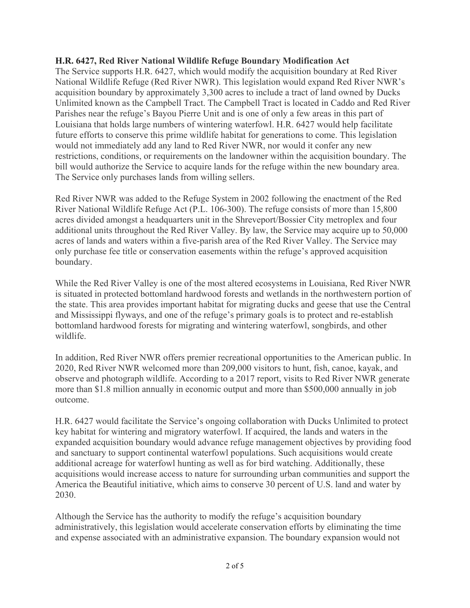#### **H.R. 6427, Red River National Wildlife Refuge Boundary Modification Act**

The Service supports H.R. 6427, which would modify the acquisition boundary at Red River National Wildlife Refuge (Red River NWR). This legislation would expand Red River NWR's acquisition boundary by approximately 3,300 acres to include a tract of land owned by Ducks Unlimited known as the Campbell Tract. The Campbell Tract is located in Caddo and Red River Parishes near the refuge's Bayou Pierre Unit and is one of only a few areas in this part of Louisiana that holds large numbers of wintering waterfowl. H.R. 6427 would help facilitate future efforts to conserve this prime wildlife habitat for generations to come. This legislation would not immediately add any land to Red River NWR, nor would it confer any new restrictions, conditions, or requirements on the landowner within the acquisition boundary. The bill would authorize the Service to acquire lands for the refuge within the new boundary area. The Service only purchases lands from willing sellers.

Red River NWR was added to the Refuge System in 2002 following the enactment of the Red River National Wildlife Refuge Act (P.L. 106-300). The refuge consists of more than 15,800 acres divided amongst a headquarters unit in the Shreveport/Bossier City metroplex and four additional units throughout the Red River Valley. By law, the Service may acquire up to 50,000 acres of lands and waters within a five-parish area of the Red River Valley. The Service may only purchase fee title or conservation easements within the refuge's approved acquisition boundary.

While the Red River Valley is one of the most altered ecosystems in Louisiana, Red River NWR is situated in protected bottomland hardwood forests and wetlands in the northwestern portion of the state. This area provides important habitat for migrating ducks and geese that use the Central and Mississippi flyways, and one of the refuge's primary goals is to protect and re-establish bottomland hardwood forests for migrating and wintering waterfowl, songbirds, and other wildlife.

In addition, Red River NWR offers premier recreational opportunities to the American public. In 2020, Red River NWR welcomed more than 209,000 visitors to hunt, fish, canoe, kayak, and observe and photograph wildlife. According to a 2017 report, visits to Red River NWR generate more than \$1.8 million annually in economic output and more than \$500,000 annually in job outcome.

H.R. 6427 would facilitate the Service's ongoing collaboration with Ducks Unlimited to protect key habitat for wintering and migratory waterfowl. If acquired, the lands and waters in the expanded acquisition boundary would advance refuge management objectives by providing food and sanctuary to support continental waterfowl populations. Such acquisitions would create additional acreage for waterfowl hunting as well as for bird watching. Additionally, these acquisitions would increase access to nature for surrounding urban communities and support the America the Beautiful initiative, which aims to conserve 30 percent of U.S. land and water by 2030.

Although the Service has the authority to modify the refuge's acquisition boundary administratively, this legislation would accelerate conservation efforts by eliminating the time and expense associated with an administrative expansion. The boundary expansion would not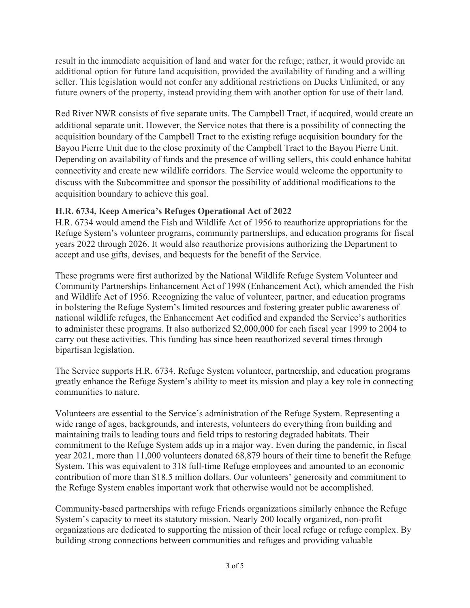result in the immediate acquisition of land and water for the refuge; rather, it would provide an additional option for future land acquisition, provided the availability of funding and a willing seller. This legislation would not confer any additional restrictions on Ducks Unlimited, or any future owners of the property, instead providing them with another option for use of their land.

Red River NWR consists of five separate units. The Campbell Tract, if acquired, would create an additional separate unit. However, the Service notes that there is a possibility of connecting the acquisition boundary of the Campbell Tract to the existing refuge acquisition boundary for the Bayou Pierre Unit due to the close proximity of the Campbell Tract to the Bayou Pierre Unit. Depending on availability of funds and the presence of willing sellers, this could enhance habitat connectivity and create new wildlife corridors. The Service would welcome the opportunity to discuss with the Subcommittee and sponsor the possibility of additional modifications to the acquisition boundary to achieve this goal.

## **H.R. 6734, Keep America's Refuges Operational Act of 2022**

H.R. 6734 would amend the Fish and Wildlife Act of 1956 to reauthorize appropriations for the Refuge System's volunteer programs, community partnerships, and education programs for fiscal years 2022 through 2026. It would also reauthorize provisions authorizing the Department to accept and use gifts, devises, and bequests for the benefit of the Service.

These programs were first authorized by the National Wildlife Refuge System Volunteer and Community Partnerships Enhancement Act of 1998 (Enhancement Act), which amended the Fish and Wildlife Act of 1956. Recognizing the value of volunteer, partner, and education programs in bolstering the Refuge System's limited resources and fostering greater public awareness of national wildlife refuges, the Enhancement Act codified and expanded the Service's authorities to administer these programs. It also authorized \$2,000,000 for each fiscal year 1999 to 2004 to carry out these activities. This funding has since been reauthorized several times through bipartisan legislation.

The Service supports H.R. 6734. Refuge System volunteer, partnership, and education programs greatly enhance the Refuge System's ability to meet its mission and play a key role in connecting communities to nature.

Volunteers are essential to the Service's administration of the Refuge System. Representing a wide range of ages, backgrounds, and interests, volunteers do everything from building and maintaining trails to leading tours and field trips to restoring degraded habitats. Their commitment to the Refuge System adds up in a major way. Even during the pandemic, in fiscal year 2021, more than 11,000 volunteers donated 68,879 hours of their time to benefit the Refuge System. This was equivalent to 318 full-time Refuge employees and amounted to an economic contribution of more than \$18.5 million dollars. Our volunteers' generosity and commitment to the Refuge System enables important work that otherwise would not be accomplished.

Community-based partnerships with refuge Friends organizations similarly enhance the Refuge System's capacity to meet its statutory mission. Nearly 200 locally organized, non-profit organizations are dedicated to supporting the mission of their local refuge or refuge complex. By building strong connections between communities and refuges and providing valuable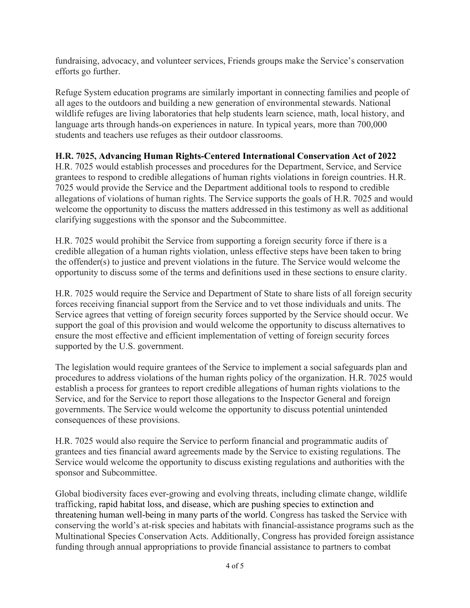fundraising, advocacy, and volunteer services, Friends groups make the Service's conservation efforts go further.

Refuge System education programs are similarly important in connecting families and people of all ages to the outdoors and building a new generation of environmental stewards. National wildlife refuges are living laboratories that help students learn science, math, local history, and language arts through hands-on experiences in nature. In typical years, more than 700,000 students and teachers use refuges as their outdoor classrooms.

## **H.R. 7025, Advancing Human Rights-Centered International Conservation Act of 2022**

H.R. 7025 would establish processes and procedures for the Department, Service, and Service grantees to respond to credible allegations of human rights violations in foreign countries. H.R. 7025 would provide the Service and the Department additional tools to respond to credible allegations of violations of human rights. The Service supports the goals of H.R. 7025 and would welcome the opportunity to discuss the matters addressed in this testimony as well as additional clarifying suggestions with the sponsor and the Subcommittee.

H.R. 7025 would prohibit the Service from supporting a foreign security force if there is a credible allegation of a human rights violation, unless effective steps have been taken to bring the offender(s) to justice and prevent violations in the future. The Service would welcome the opportunity to discuss some of the terms and definitions used in these sections to ensure clarity.

H.R. 7025 would require the Service and Department of State to share lists of all foreign security forces receiving financial support from the Service and to vet those individuals and units. The Service agrees that vetting of foreign security forces supported by the Service should occur. We support the goal of this provision and would welcome the opportunity to discuss alternatives to ensure the most effective and efficient implementation of vetting of foreign security forces supported by the U.S. government.

The legislation would require grantees of the Service to implement a social safeguards plan and procedures to address violations of the human rights policy of the organization. H.R. 7025 would establish a process for grantees to report credible allegations of human rights violations to the Service, and for the Service to report those allegations to the Inspector General and foreign governments. The Service would welcome the opportunity to discuss potential unintended consequences of these provisions.

H.R. 7025 would also require the Service to perform financial and programmatic audits of grantees and ties financial award agreements made by the Service to existing regulations. The Service would welcome the opportunity to discuss existing regulations and authorities with the sponsor and Subcommittee.

Global biodiversity faces ever-growing and evolving threats, including climate change, wildlife trafficking, rapid habitat loss, and disease, which are pushing species to extinction and threatening human well-being in many parts of the world. Congress has tasked the Service with conserving the world's at-risk species and habitats with financial-assistance programs such as the Multinational Species Conservation Acts. Additionally, Congress has provided foreign assistance funding through annual appropriations to provide financial assistance to partners to combat